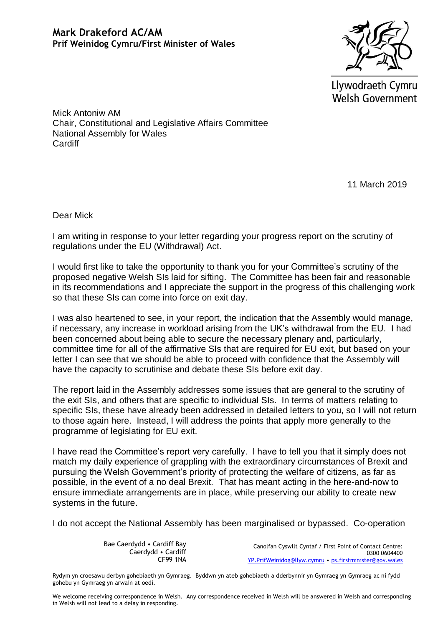

Llywodraeth Cymru **Welsh Government** 

Mick Antoniw AM Chair, Constitutional and Legislative Affairs Committee National Assembly for Wales **Cardiff** 

11 March 2019

Dear Mick

I am writing in response to your letter regarding your progress report on the scrutiny of regulations under the EU (Withdrawal) Act.

I would first like to take the opportunity to thank you for your Committee's scrutiny of the proposed negative Welsh SIs laid for sifting. The Committee has been fair and reasonable in its recommendations and I appreciate the support in the progress of this challenging work so that these SIs can come into force on exit day.

I was also heartened to see, in your report, the indication that the Assembly would manage, if necessary, any increase in workload arising from the UK's withdrawal from the EU. I had been concerned about being able to secure the necessary plenary and, particularly, committee time for all of the affirmative SIs that are required for EU exit, but based on your letter I can see that we should be able to proceed with confidence that the Assembly will have the capacity to scrutinise and debate these SIs before exit day.

The report laid in the Assembly addresses some issues that are general to the scrutiny of the exit SIs, and others that are specific to individual SIs. In terms of matters relating to specific SIs, these have already been addressed in detailed letters to you, so I will not return to those again here. Instead, I will address the points that apply more generally to the programme of legislating for EU exit.

I have read the Committee's report very carefully. I have to tell you that it simply does not match my daily experience of grappling with the extraordinary circumstances of Brexit and pursuing the Welsh Government's priority of protecting the welfare of citizens, as far as possible, in the event of a no deal Brexit. That has meant acting in the here-and-now to ensure immediate arrangements are in place, while preserving our ability to create new systems in the future.

I do not accept the National Assembly has been marginalised or bypassed. Co-operation

Bae Caerdydd • Cardiff Bay Caerdydd • Cardiff CF99 1NA

Canolfan Cyswllt Cyntaf / First Point of Contact Centre: 0300 0604400 [YP.PrifWeinidog@llyw.cymru](mailto:YP.PrifWeinidog@llyw.cymru) • [ps.firstminister@gov.wales](mailto:ps.firstminister@gov.wales)

Rydym yn croesawu derbyn gohebiaeth yn Gymraeg. Byddwn yn ateb gohebiaeth a dderbynnir yn Gymraeg yn Gymraeg ac ni fydd gohebu yn Gymraeg yn arwain at oedi.

We welcome receiving correspondence in Welsh. Any correspondence received in Welsh will be answered in Welsh and corresponding in Welsh will not lead to a delay in responding.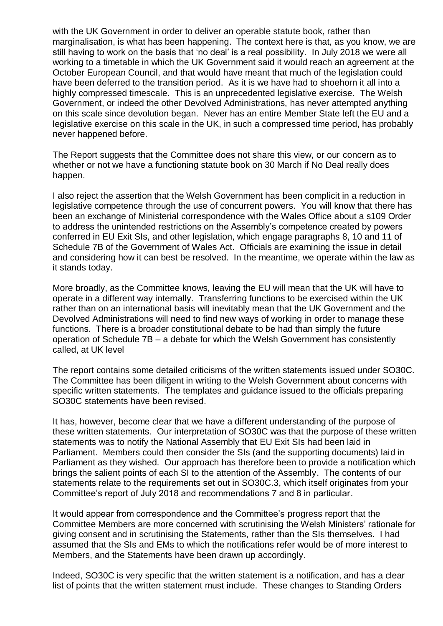with the UK Government in order to deliver an operable statute book, rather than marginalisation, is what has been happening. The context here is that, as you know, we are still having to work on the basis that 'no deal' is a real possibility. In July 2018 we were all working to a timetable in which the UK Government said it would reach an agreement at the October European Council, and that would have meant that much of the legislation could have been deferred to the transition period. As it is we have had to shoehorn it all into a highly compressed timescale. This is an unprecedented legislative exercise. The Welsh Government, or indeed the other Devolved Administrations, has never attempted anything on this scale since devolution began. Never has an entire Member State left the EU and a legislative exercise on this scale in the UK, in such a compressed time period, has probably never happened before.

The Report suggests that the Committee does not share this view, or our concern as to whether or not we have a functioning statute book on 30 March if No Deal really does happen.

I also reject the assertion that the Welsh Government has been complicit in a reduction in legislative competence through the use of concurrent powers. You will know that there has been an exchange of Ministerial correspondence with the Wales Office about a s109 Order to address the unintended restrictions on the Assembly's competence created by powers conferred in EU Exit SIs, and other legislation, which engage paragraphs 8, 10 and 11 of Schedule 7B of the Government of Wales Act. Officials are examining the issue in detail and considering how it can best be resolved. In the meantime, we operate within the law as it stands today.

More broadly, as the Committee knows, leaving the EU will mean that the UK will have to operate in a different way internally. Transferring functions to be exercised within the UK rather than on an international basis will inevitably mean that the UK Government and the Devolved Administrations will need to find new ways of working in order to manage these functions. There is a broader constitutional debate to be had than simply the future operation of Schedule 7B – a debate for which the Welsh Government has consistently called, at UK level

The report contains some detailed criticisms of the written statements issued under SO30C. The Committee has been diligent in writing to the Welsh Government about concerns with specific written statements. The templates and guidance issued to the officials preparing SO30C statements have been revised.

It has, however, become clear that we have a different understanding of the purpose of these written statements. Our interpretation of SO30C was that the purpose of these written statements was to notify the National Assembly that EU Exit SIs had been laid in Parliament. Members could then consider the SIs (and the supporting documents) laid in Parliament as they wished. Our approach has therefore been to provide a notification which brings the salient points of each SI to the attention of the Assembly. The contents of our statements relate to the requirements set out in SO30C.3, which itself originates from your Committee's report of July 2018 and recommendations 7 and 8 in particular.

It would appear from correspondence and the Committee's progress report that the Committee Members are more concerned with scrutinising the Welsh Ministers' rationale for giving consent and in scrutinising the Statements, rather than the SIs themselves. I had assumed that the SIs and EMs to which the notifications refer would be of more interest to Members, and the Statements have been drawn up accordingly.

Indeed, SO30C is very specific that the written statement is a notification, and has a clear list of points that the written statement must include. These changes to Standing Orders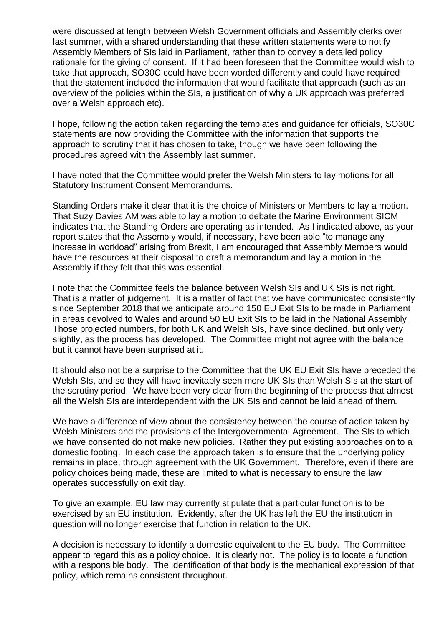were discussed at length between Welsh Government officials and Assembly clerks over last summer, with a shared understanding that these written statements were to notify Assembly Members of SIs laid in Parliament, rather than to convey a detailed policy rationale for the giving of consent. If it had been foreseen that the Committee would wish to take that approach, SO30C could have been worded differently and could have required that the statement included the information that would facilitate that approach (such as an overview of the policies within the SIs, a justification of why a UK approach was preferred over a Welsh approach etc).

I hope, following the action taken regarding the templates and guidance for officials, SO30C statements are now providing the Committee with the information that supports the approach to scrutiny that it has chosen to take, though we have been following the procedures agreed with the Assembly last summer.

I have noted that the Committee would prefer the Welsh Ministers to lay motions for all Statutory Instrument Consent Memorandums.

Standing Orders make it clear that it is the choice of Ministers or Members to lay a motion. That Suzy Davies AM was able to lay a motion to debate the Marine Environment SICM indicates that the Standing Orders are operating as intended. As I indicated above, as your report states that the Assembly would, if necessary, have been able "to manage any increase in workload" arising from Brexit, I am encouraged that Assembly Members would have the resources at their disposal to draft a memorandum and lay a motion in the Assembly if they felt that this was essential.

I note that the Committee feels the balance between Welsh SIs and UK SIs is not right. That is a matter of judgement. It is a matter of fact that we have communicated consistently since September 2018 that we anticipate around 150 EU Exit SIs to be made in Parliament in areas devolved to Wales and around 50 EU Exit SIs to be laid in the National Assembly. Those projected numbers, for both UK and Welsh SIs, have since declined, but only very slightly, as the process has developed. The Committee might not agree with the balance but it cannot have been surprised at it.

It should also not be a surprise to the Committee that the UK EU Exit SIs have preceded the Welsh SIs, and so they will have inevitably seen more UK SIs than Welsh SIs at the start of the scrutiny period. We have been very clear from the beginning of the process that almost all the Welsh SIs are interdependent with the UK SIs and cannot be laid ahead of them.

We have a difference of view about the consistency between the course of action taken by Welsh Ministers and the provisions of the Intergovernmental Agreement. The SIs to which we have consented do not make new policies. Rather they put existing approaches on to a domestic footing. In each case the approach taken is to ensure that the underlying policy remains in place, through agreement with the UK Government. Therefore, even if there are policy choices being made, these are limited to what is necessary to ensure the law operates successfully on exit day.

To give an example, EU law may currently stipulate that a particular function is to be exercised by an EU institution. Evidently, after the UK has left the EU the institution in question will no longer exercise that function in relation to the UK.

A decision is necessary to identify a domestic equivalent to the EU body. The Committee appear to regard this as a policy choice. It is clearly not. The policy is to locate a function with a responsible body. The identification of that body is the mechanical expression of that policy, which remains consistent throughout.